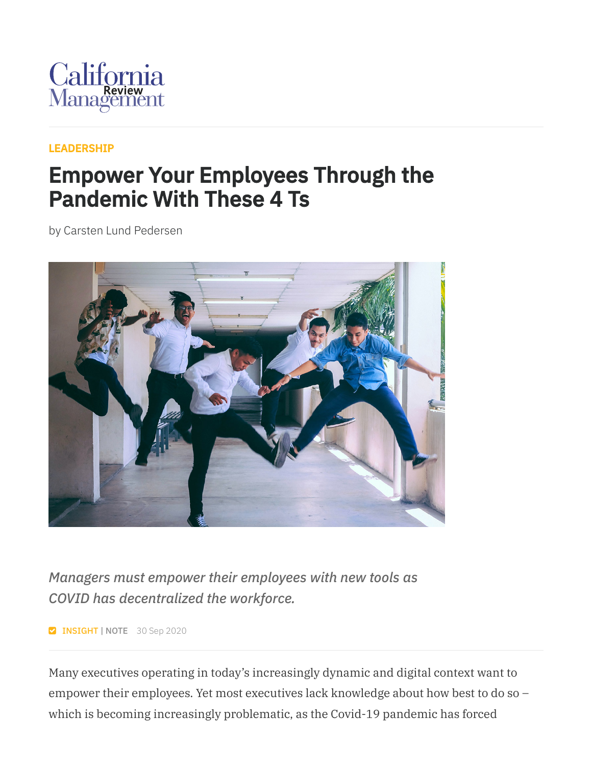

## [LEADERSHIP](https://cmr.berkeley.edu/browse/topics/leadership/)

## Empower Your Employees Through the Pandemic With These 4 Ts

by Carsten Lund Pedersen



*Managers must empower their employees with new tools as COVID has decentralized the workforce.*

**INSIGHT | NOTE** 30 Sep 2020

Many executives operating in today's increasingly dynamic and digital context want to empower their employees. Yet most executives lack knowledge about how best to do so – which is becoming increasingly problematic, as the Covid-19 pandemic has forced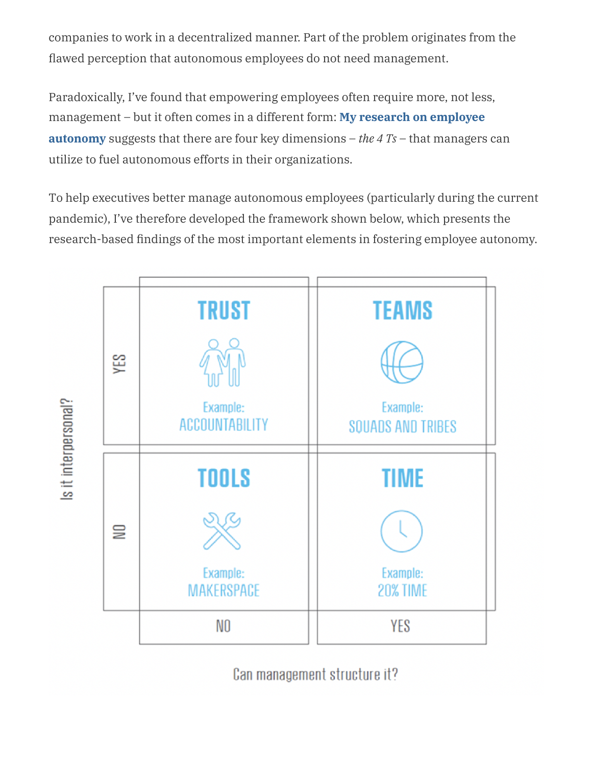companies to work in a decentralized manner. Part of the problem originates from the flawed perception that autonomous employees do not need management.

Paradoxically, I've found that empowering employees often require more, not less, [management](https://research.cbs.dk/da/publications/empowering-employees-a-how-to-guide-for-assisting-autonomy) – but it often comes in a different form: **My research on employee autonomy** suggests that there are four key dimensions – *the 4 Ts* – that managers can utilize to fuel autonomous efforts in their organizations.

To help executives better manage autonomous employees (particularly during the current pandemic), I've therefore developed the framework shown below, which presents the research-based findings of the most important elements in fostering employee autonomy.



Can management structure it?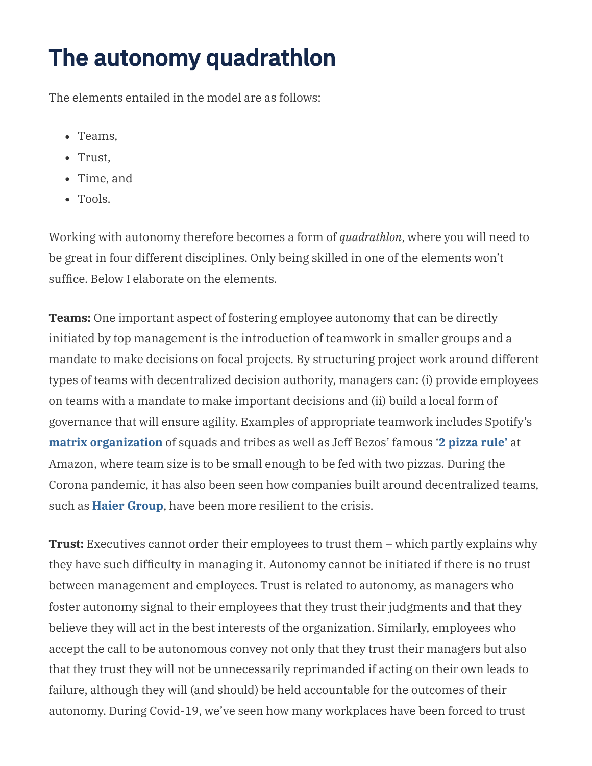## The autonomy quadrathlon

The elements entailed in the model are as follows:

- Teams,
- Trust,
- Time, and
- Tools.

Working with autonomy therefore becomes a form of *quadrathlon*, where you will need to be great in four different disciplines. Only being skilled in one of the elements won't suffice. Below I elaborate on the elements.

**Teams:** One important aspect of fostering employee autonomy that can be directly initiated by top management is the introduction of teamwork in smaller groups and a mandate to make decisions on focal projects. By structuring project work around different types of teams with decentralized decision authority, managers can: (i) provide employees on teams with a mandate to make important decisions and (ii) build a local form of governance that will ensure agility. Examples of appropriate teamwork includes Spotify's **matrix [organization](https://medium.com/scaled-agile-framework/exploring-key-elements-of-spotifys-agile-scaling-model-471d2a23d7ea)** of squads and tribes as well as Jeff Bezos' famous '**2 [pizza](https://www.cnbc.com/2018/04/30/jeff-bezos-2-pizza-rule-can-help-you-hold-more-productive-meetings.html) rule'** at Amazon, where team size is to be small enough to be fed with two pizzas. During the Corona pandemic, it has also been seen how companies built around decentralized teams, such as **Haier [Group](https://sloanreview.mit.edu/article/how-autonomy-creates-resilience-in-the-face-of-crisis/)**, have been more resilient to the crisis.

**Trust:** Executives cannot order their employees to trust them – which partly explains why they have such difficulty in managing it. Autonomy cannot be initiated if there is no trust between management and employees. Trust is related to autonomy, as managers who foster autonomy signal to their employees that they trust their judgments and that they believe they will act in the best interests of the organization. Similarly, employees who accept the call to be autonomous convey not only that they trust their managers but also that they trust they will not be unnecessarily reprimanded if acting on their own leads to failure, although they will (and should) be held accountable for the outcomes of their autonomy. During Covid-19, we've seen how many workplaces have been forced to trust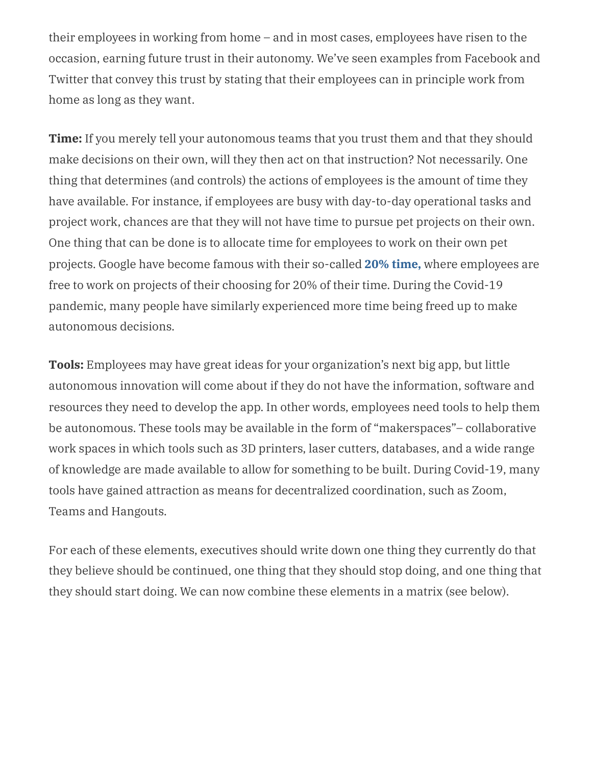their employees in working from home – and in most cases, employees have risen to the occasion, earning future trust in their autonomy. We've seen examples from Facebook and Twitter that convey this trust by stating that their employees can in principle work from home as long as they want.

**Time:** If you merely tell your autonomous teams that you trust them and that they should make decisions on their own, will they then act on that instruction? Not necessarily. One thing that determines (and controls) the actions of employees is the amount of time they have available. For instance, if employees are busy with day-to-day operational tasks and project work, chances are that they will not have time to pursue pet projects on their own. One thing that can be done is to allocate time for employees to work on their own pet projects. Google have become famous with their so-called **20% [time,](https://mashable.com/2018/05/11/google-20-percent-rule/?europe=true)** where employees are free to work on projects of their choosing for 20% of their time. During the Covid-19 pandemic, many people have similarly experienced more time being freed up to make autonomous decisions.

**Tools:** Employees may have great ideas for your organization's next big app, but little autonomous innovation will come about if they do not have the information, software and resources they need to develop the app. In other words, employees need tools to help them be autonomous. These tools may be available in the form of "makerspaces"– collaborative work spaces in which tools such as 3D printers, laser cutters, databases, and a wide range of knowledge are made available to allow for something to be built. During Covid-19, many tools have gained attraction as means for decentralized coordination, such as Zoom, Teams and Hangouts.

For each of these elements, executives should write down one thing they currently do that they believe should be continued, one thing that they should stop doing, and one thing that they should start doing. We can now combine these elements in a matrix (see below).